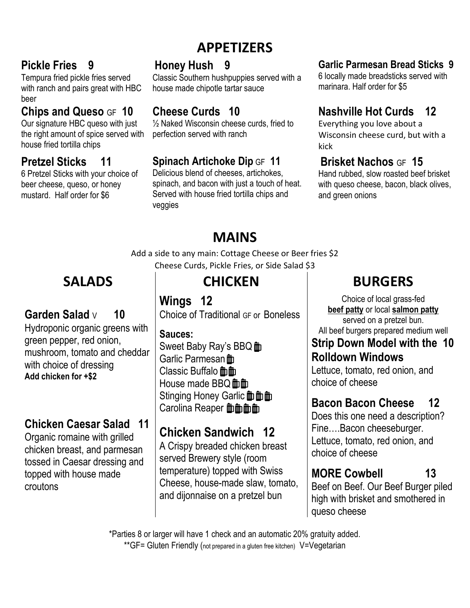# **APPETIZERS**

### **Pickle Fries 9**

Tempura fried pickle fries served with ranch and pairs great with HBC beer

### **Chips and Queso** GF **10**

Our signature HBC queso with just the right amount of spice served with house fried tortilla chips

### **Pretzel Sticks 11**

6 Pretzel Sticks with your choice of beer cheese, queso, or honey mustard. Half order for \$6

## **Honey Hush 9**

Classic Southern hushpuppies served with a house made chipotle tartar sauce

## **Cheese Curds 10**

 $\frac{1}{2}$  Naked Wisconsin cheese curds, fried to perfection served with ranch

### **Spinach Artichoke Dip** GF **11**

Delicious blend of cheeses, artichokes, spinach, and bacon with just a touch of heat. Served with house fried tortilla chips and veggies

### **Garlic Parmesan Bread Sticks 9**

6 locally made breadsticks served with marinara. Half order for \$5

### **Nashville Hot Curds 12**

Everything you love about a Wisconsin cheese curd, but with a kick

## **Brisket Nachos** GF **15**

Hand rubbed, slow roasted beef brisket with queso cheese, bacon, black olives, and green onions

# **MAINS**

Add a side to any main: Cottage Cheese or Beer fries \$2 Cheese Curds, Pickle Fries, or Side Salad \$3

## **Garden Salad** <sup>V</sup> **10**

Hydroponic organic greens with green pepper, red onion, mushroom, tomato and cheddar with choice of dressing **Add chicken for +\$2**

### **Chicken Caesar Salad 11**

Organic romaine with grilled chicken breast, and parmesan tossed in Caesar dressing and topped with house made croutons

# **SALADS CHICKEN BURGERS**

**Wings 12** Choice of Traditional GF or Boneless

**Sauces:**  Sweet Baby Ray's BBQ m Garlic Parmesan m Classic Buffalo mm House made BBQ 面面 Stinging Honey Garlic 面面面 Carolina Reaper **血血血** 

## **Chicken Sandwich 12**

A Crispy breaded chicken breast served Brewery style (room temperature) topped with Swiss Cheese, house-made slaw, tomato, and dijonnaise on a pretzel bun

Choice of local grass-fed **beef patty** or local **salmon patty** served on a pretzel bun. All beef burgers prepared medium well

### **Strip Down Model with the 10 Rolldown Windows**

Lettuce, tomato, red onion, and choice of cheese

# **Bacon Bacon Cheese 12**

Does this one need a description? Fine….Bacon cheeseburger. Lettuce, tomato, red onion, and choice of cheese

# **MORE Cowbell** 13

Beef on Beef. Our Beef Burger piled high with brisket and smothered in queso cheese

\*Parties 8 or larger will have 1 check and an automatic 20% gratuity added. \*\*GF= Gluten Friendly (not prepared in a gluten free kitchen) V=Vegetarian